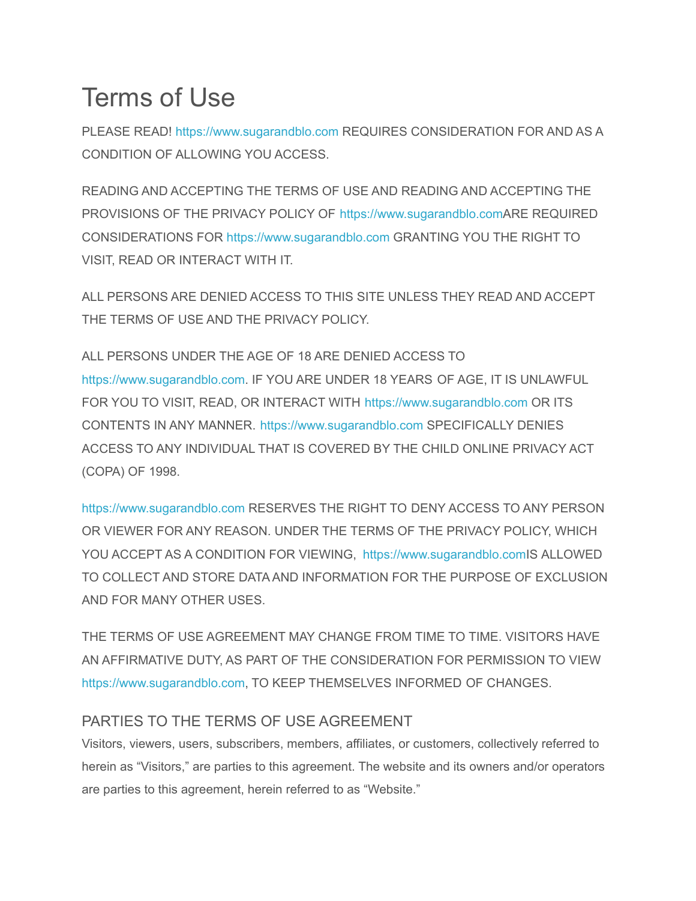# Terms of Use

PLEASE READ! [https://www.sugarandblo.com](https://www.sugarandblo.com/) REQUIRES CONSIDERATION FOR AND AS A CONDITION OF ALLOWING YOU ACCESS.

READING AND ACCEPTING THE TERMS OF USE AND READING AND ACCEPTING THE PROVISIONS OF THE PRIVACY POLICY OF [https://www.sugarandblo.comA](https://www.sugarandblo.com/)RE REQUIRED CONSIDERATIONS FOR [https://www.sugarandblo.com](https://www.sugarandblo.com/) GRANTING YOU THE RIGHT TO VISIT, READ OR INTERACT WITH IT.

ALL PERSONS ARE DENIED ACCESS TO THIS SITE UNLESS THEY READ AND ACCEPT THE TERMS OF USE AND THE PRIVACY POLICY.

ALL PERSONS UNDER THE AGE OF 18 ARE DENIED ACCESS TO [https://www.sugarandblo.com.](https://www.sugarandblo.com/) IF YOU ARE UNDER 18 YEARS OF AGE, IT IS UNLAWFUL FOR YOU TO VISIT, READ, OR INTERACT WITH [https://www.sugarandblo.com](https://www.sugarandblo.com/) OR ITS CONTENTS IN ANY MANNER. [https://www.sugarandblo.com](https://www.sugarandblo.com/) SPECIFICALLY DENIES ACCESS TO ANY INDIVIDUAL THAT IS COVERED BY THE CHILD ONLINE PRIVACY ACT (COPA) OF 1998.

[https://www.sugarandblo.com](https://www.sugarandblo.com/) RESERVES THE RIGHT TO DENY ACCESS TO ANY PERSON OR VIEWER FOR ANY REASON. UNDER THE TERMS OF THE PRIVACY POLICY, WHICH YOU ACCEPT AS A CONDITION FOR VIEWING, [https://www.sugarandblo.comI](https://www.sugarandblo.com/)S ALLOWED TO COLLECT AND STORE DATA AND INFORMATION FOR THE PURPOSE OF EXCLUSION AND FOR MANY OTHER USES.

THE TERMS OF USE AGREEMENT MAY CHANGE FROM TIME TO TIME. VISITORS HAVE AN AFFIRMATIVE DUTY, AS PART OF THE CONSIDERATION FOR PERMISSION TO VIEW [https://www.sugarandblo.com,](https://www.sugarandblo.com/) TO KEEP THEMSELVES INFORMED OF CHANGES.

## PARTIES TO THE TERMS OF USE AGREEMENT

Visitors, viewers, users, subscribers, members, affiliates, or customers, collectively referred to herein as "Visitors," are parties to this agreement. The website and its owners and/or operators are parties to this agreement, herein referred to as "Website."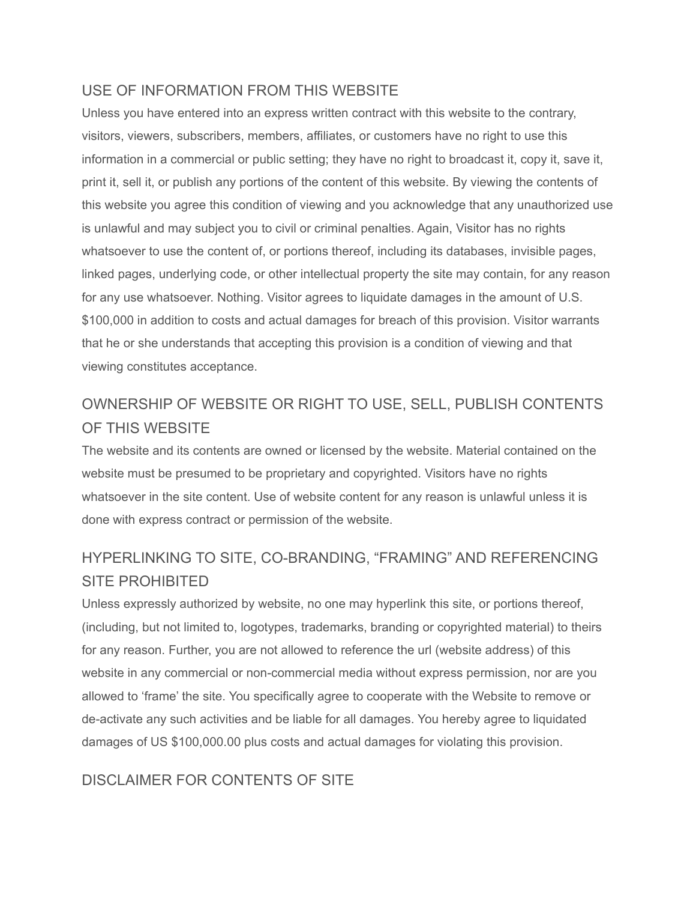#### USE OF INFORMATION FROM THIS WEBSITE

Unless you have entered into an express written contract with this website to the contrary, visitors, viewers, subscribers, members, affiliates, or customers have no right to use this information in a commercial or public setting; they have no right to broadcast it, copy it, save it, print it, sell it, or publish any portions of the content of this website. By viewing the contents of this website you agree this condition of viewing and you acknowledge that any unauthorized use is unlawful and may subject you to civil or criminal penalties. Again, Visitor has no rights whatsoever to use the content of, or portions thereof, including its databases, invisible pages, linked pages, underlying code, or other intellectual property the site may contain, for any reason for any use whatsoever. Nothing. Visitor agrees to liquidate damages in the amount of U.S. \$100,000 in addition to costs and actual damages for breach of this provision. Visitor warrants that he or she understands that accepting this provision is a condition of viewing and that viewing constitutes acceptance.

# OWNERSHIP OF WEBSITE OR RIGHT TO USE, SELL, PUBLISH CONTENTS OF THIS WEBSITE

The website and its contents are owned or licensed by the website. Material contained on the website must be presumed to be proprietary and copyrighted. Visitors have no rights whatsoever in the site content. Use of website content for any reason is unlawful unless it is done with express contract or permission of the website.

# HYPERLINKING TO SITE, CO-BRANDING, "FRAMING" AND REFERENCING SITE PROHIBITED

Unless expressly authorized by website, no one may hyperlink this site, or portions thereof, (including, but not limited to, logotypes, trademarks, branding or copyrighted material) to theirs for any reason. Further, you are not allowed to reference the url (website address) of this website in any commercial or non-commercial media without express permission, nor are you allowed to 'frame' the site. You specifically agree to cooperate with the Website to remove or de-activate any such activities and be liable for all damages. You hereby agree to liquidated damages of US \$100,000.00 plus costs and actual damages for violating this provision.

#### DISCLAIMER FOR CONTENTS OF SITE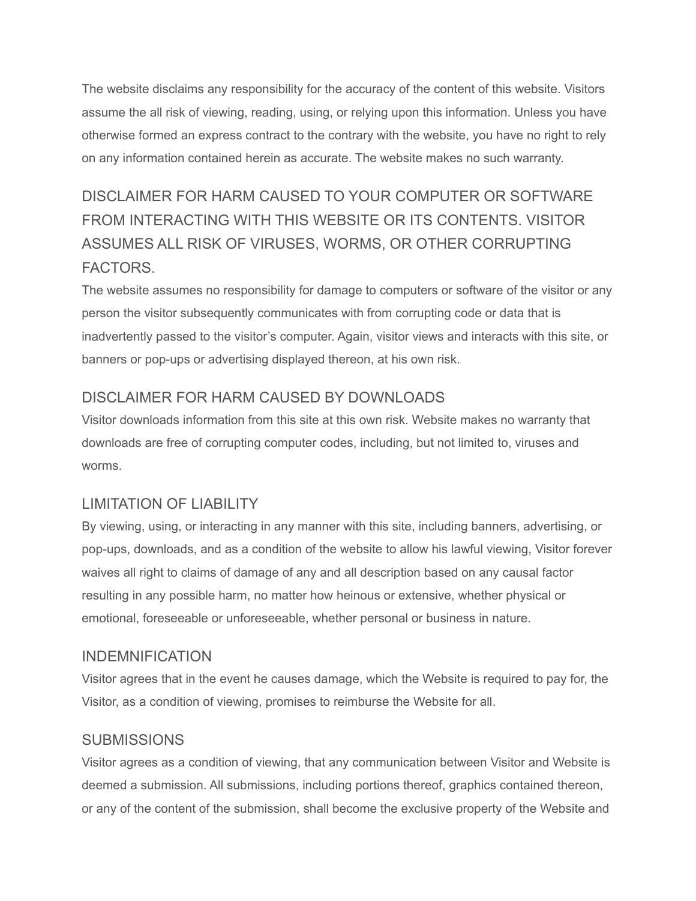The website disclaims any responsibility for the accuracy of the content of this website. Visitors assume the all risk of viewing, reading, using, or relying upon this information. Unless you have otherwise formed an express contract to the contrary with the website, you have no right to rely on any information contained herein as accurate. The website makes no such warranty.

# DISCLAIMER FOR HARM CAUSED TO YOUR COMPUTER OR SOFTWARE FROM INTERACTING WITH THIS WEBSITE OR ITS CONTENTS. VISITOR ASSUMES ALL RISK OF VIRUSES, WORMS, OR OTHER CORRUPTING FACTORS.

The website assumes no responsibility for damage to computers or software of the visitor or any person the visitor subsequently communicates with from corrupting code or data that is inadvertently passed to the visitor's computer. Again, visitor views and interacts with this site, or banners or pop-ups or advertising displayed thereon, at his own risk.

## DISCLAIMER FOR HARM CAUSED BY DOWNLOADS

Visitor downloads information from this site at this own risk. Website makes no warranty that downloads are free of corrupting computer codes, including, but not limited to, viruses and worms.

## LIMITATION OF LIABILITY

By viewing, using, or interacting in any manner with this site, including banners, advertising, or pop-ups, downloads, and as a condition of the website to allow his lawful viewing, Visitor forever waives all right to claims of damage of any and all description based on any causal factor resulting in any possible harm, no matter how heinous or extensive, whether physical or emotional, foreseeable or unforeseeable, whether personal or business in nature.

#### INDEMNIFICATION

Visitor agrees that in the event he causes damage, which the Website is required to pay for, the Visitor, as a condition of viewing, promises to reimburse the Website for all.

## **SUBMISSIONS**

Visitor agrees as a condition of viewing, that any communication between Visitor and Website is deemed a submission. All submissions, including portions thereof, graphics contained thereon, or any of the content of the submission, shall become the exclusive property of the Website and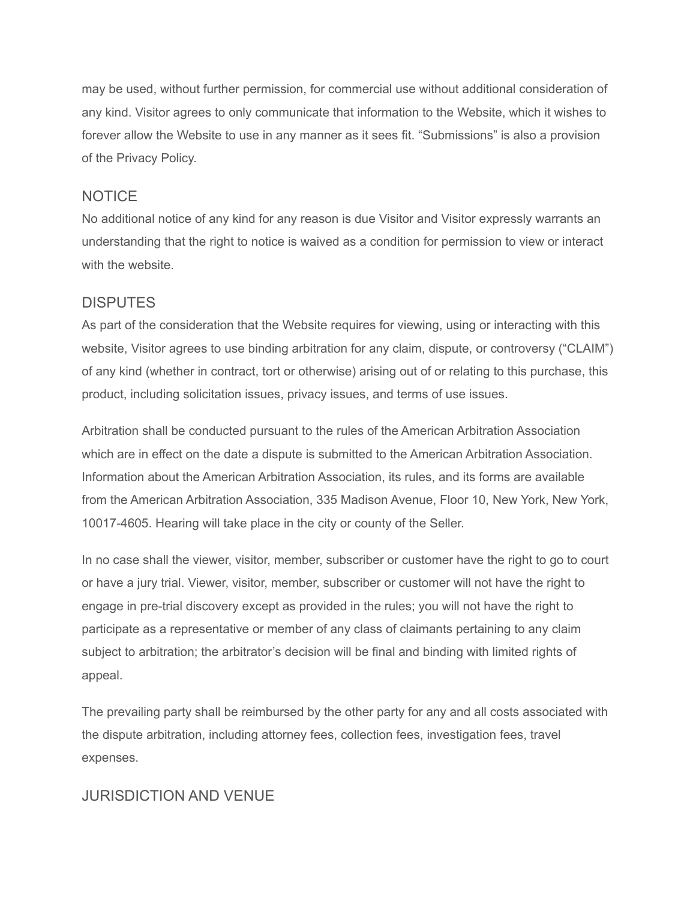may be used, without further permission, for commercial use without additional consideration of any kind. Visitor agrees to only communicate that information to the Website, which it wishes to forever allow the Website to use in any manner as it sees fit. "Submissions" is also a provision of the Privacy Policy.

#### **NOTICE**

No additional notice of any kind for any reason is due Visitor and Visitor expressly warrants an understanding that the right to notice is waived as a condition for permission to view or interact with the website.

#### DISPUTES

As part of the consideration that the Website requires for viewing, using or interacting with this website, Visitor agrees to use binding arbitration for any claim, dispute, or controversy ("CLAIM") of any kind (whether in contract, tort or otherwise) arising out of or relating to this purchase, this product, including solicitation issues, privacy issues, and terms of use issues.

Arbitration shall be conducted pursuant to the rules of the American Arbitration Association which are in effect on the date a dispute is submitted to the American Arbitration Association. Information about the American Arbitration Association, its rules, and its forms are available from the American Arbitration Association, 335 Madison Avenue, Floor 10, New York, New York, 10017-4605. Hearing will take place in the city or county of the Seller.

In no case shall the viewer, visitor, member, subscriber or customer have the right to go to court or have a jury trial. Viewer, visitor, member, subscriber or customer will not have the right to engage in pre-trial discovery except as provided in the rules; you will not have the right to participate as a representative or member of any class of claimants pertaining to any claim subject to arbitration; the arbitrator's decision will be final and binding with limited rights of appeal.

The prevailing party shall be reimbursed by the other party for any and all costs associated with the dispute arbitration, including attorney fees, collection fees, investigation fees, travel expenses.

#### JURISDICTION AND VENUE